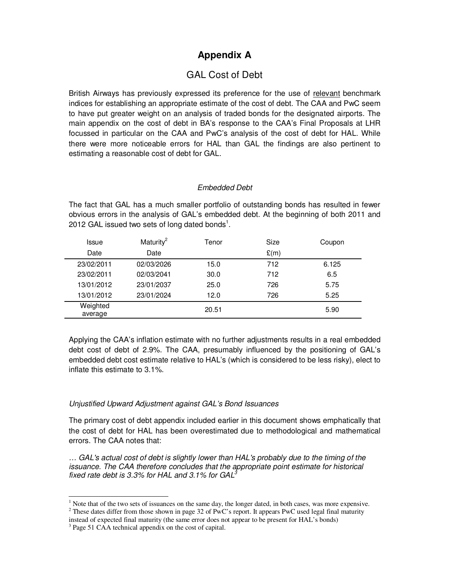# **Appendix A**

# GAL Cost of Debt

British Airways has previously expressed its preference for the use of relevant benchmark indices for establishing an appropriate estimate of the cost of debt. The CAA and PwC seem to have put greater weight on an analysis of traded bonds for the designated airports. The main appendix on the cost of debt in BA's response to the CAA's Final Proposals at LHR focussed in particular on the CAA and PwC's analysis of the cost of debt for HAL. While there were more noticeable errors for HAL than GAL the findings are also pertinent to estimating a reasonable cost of debt for GAL.

# Embedded Debt

The fact that GAL has a much smaller portfolio of outstanding bonds has resulted in fewer obvious errors in the analysis of GAL's embedded debt. At the beginning of both 2011 and 2012 GAL issued two sets of long dated bonds<sup>1</sup>.

| Issue               | Maturity <sup>2</sup> | Tenor | Size | Coupon |
|---------------------|-----------------------|-------|------|--------|
| Date                | Date                  |       | E(m) |        |
| 23/02/2011          | 02/03/2026            | 15.0  | 712  | 6.125  |
| 23/02/2011          | 02/03/2041            | 30.0  | 712  | 6.5    |
| 13/01/2012          | 23/01/2037            | 25.0  | 726  | 5.75   |
| 13/01/2012          | 23/01/2024            | 12.0  | 726  | 5.25   |
| Weighted<br>average |                       | 20.51 |      | 5.90   |

Applying the CAA's inflation estimate with no further adjustments results in a real embedded debt cost of debt of 2.9%. The CAA, presumably influenced by the positioning of GAL's embedded debt cost estimate relative to HAL's (which is considered to be less risky), elect to inflate this estimate to 3.1%.

# Unjustified Upward Adjustment against GAL's Bond Issuances

The primary cost of debt appendix included earlier in this document shows emphatically that the cost of debt for HAL has been overestimated due to methodological and mathematical errors. The CAA notes that:

… GAL's actual cost of debt is slightly lower than HAL's probably due to the timing of the issuance. The CAA therefore concludes that the appropriate point estimate for historical fixed rate debt is 3.3% for HAL and 3.1% for GAL $^3$ 

-

 $<sup>1</sup>$  Note that of the two sets of issuances on the same day, the longer dated, in both cases, was more expensive.</sup>

<sup>&</sup>lt;sup>2</sup> These dates differ from those shown in page 32 of PwC's report. It appears PwC used legal final maturity instead of expected final maturity (the same error does not appear to be present for HAL's bonds)

<sup>&</sup>lt;sup>3</sup> Page 51 CAA technical appendix on the cost of capital.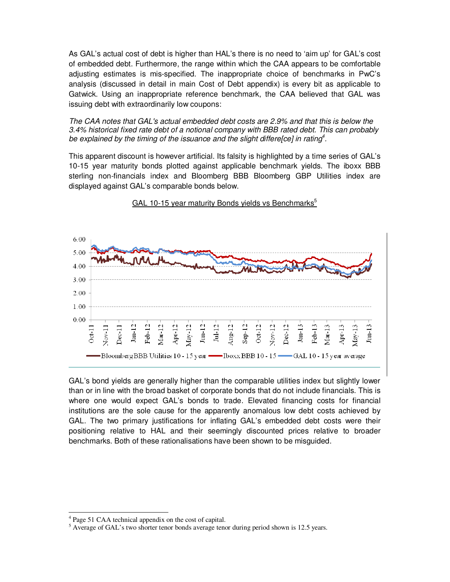As GAL's actual cost of debt is higher than HAL's there is no need to 'aim up' for GAL's cost of embedded debt. Furthermore, the range within which the CAA appears to be comfortable adjusting estimates is mis-specified. The inappropriate choice of benchmarks in PwC's analysis (discussed in detail in main Cost of Debt appendix) is every bit as applicable to Gatwick. Using an inappropriate reference benchmark, the CAA believed that GAL was issuing debt with extraordinarily low coupons:

The CAA notes that GAL's actual embedded debt costs are 2.9% and that this is below the 3.4% historical fixed rate debt of a notional company with BBB rated debt. This can probably be explained by the timing of the issuance and the slight differe[ce] in rating<sup>4</sup>.

This apparent discount is however artificial. Its falsity is highlighted by a time series of GAL's 10-15 year maturity bonds plotted against applicable benchmark yields. The iboxx BBB sterling non-financials index and Bloomberg BBB Bloomberg GBP Utilities index are displayed against GAL's comparable bonds below.



GAL 10-15 year maturity Bonds yields vs Benchmarks<sup>5</sup>

GAL's bond yields are generally higher than the comparable utilities index but slightly lower than or in line with the broad basket of corporate bonds that do not include financials. This is where one would expect GAL's bonds to trade. Elevated financing costs for financial institutions are the sole cause for the apparently anomalous low debt costs achieved by GAL. The two primary justifications for inflating GAL's embedded debt costs were their positioning relative to HAL and their seemingly discounted prices relative to broader benchmarks. Both of these rationalisations have been shown to be misguided.

<sup>-</sup>4 Page 51 CAA technical appendix on the cost of capital.

<sup>&</sup>lt;sup>5</sup> Average of GAL's two shorter tenor bonds average tenor during period shown is 12.5 years.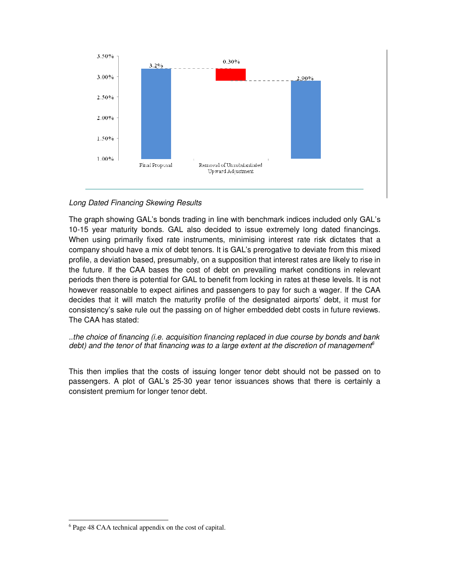

# Long Dated Financing Skewing Results

The graph showing GAL's bonds trading in line with benchmark indices included only GAL's 10-15 year maturity bonds. GAL also decided to issue extremely long dated financings. When using primarily fixed rate instruments, minimising interest rate risk dictates that a company should have a mix of debt tenors. It is GAL's prerogative to deviate from this mixed profile, a deviation based, presumably, on a supposition that interest rates are likely to rise in the future. If the CAA bases the cost of debt on prevailing market conditions in relevant periods then there is potential for GAL to benefit from locking in rates at these levels. It is not however reasonable to expect airlines and passengers to pay for such a wager. If the CAA decides that it will match the maturity profile of the designated airports' debt, it must for consistency's sake rule out the passing on of higher embedded debt costs in future reviews. The CAA has stated:

..the choice of financing (i.e. acquisition financing replaced in due course by bonds and bank debt) and the tenor of that financing was to a large extent at the discretion of management<sup>6</sup>

This then implies that the costs of issuing longer tenor debt should not be passed on to passengers. A plot of GAL's 25-30 year tenor issuances shows that there is certainly a consistent premium for longer tenor debt.

<sup>-</sup>

<sup>&</sup>lt;sup>6</sup> Page 48 CAA technical appendix on the cost of capital.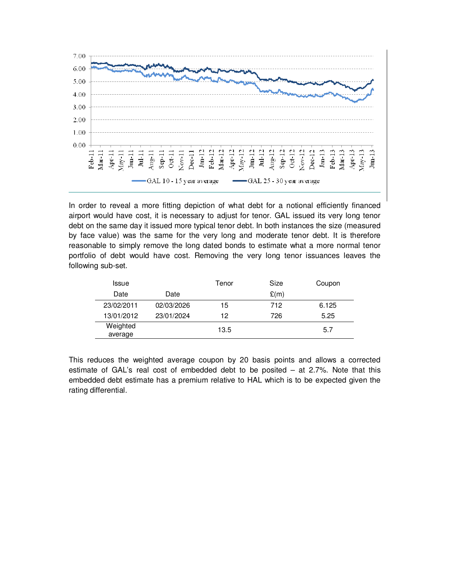

In order to reveal a more fitting depiction of what debt for a notional efficiently financed airport would have cost, it is necessary to adjust for tenor. GAL issued its very long tenor debt on the same day it issued more typical tenor debt. In both instances the size (measured by face value) was the same for the very long and moderate tenor debt. It is therefore reasonable to simply remove the long dated bonds to estimate what a more normal tenor portfolio of debt would have cost. Removing the very long tenor issuances leaves the following sub-set.

| Issue               |            | Tenor | Size | Coupon |
|---------------------|------------|-------|------|--------|
| Date                | Date       |       | E(m) |        |
| 23/02/2011          | 02/03/2026 | 15    | 712  | 6.125  |
| 13/01/2012          | 23/01/2024 | 12    | 726  | 5.25   |
| Weighted<br>average |            | 13.5  |      | 5.7    |

This reduces the weighted average coupon by 20 basis points and allows a corrected estimate of GAL's real cost of embedded debt to be posited – at 2.7%. Note that this embedded debt estimate has a premium relative to HAL which is to be expected given the rating differential.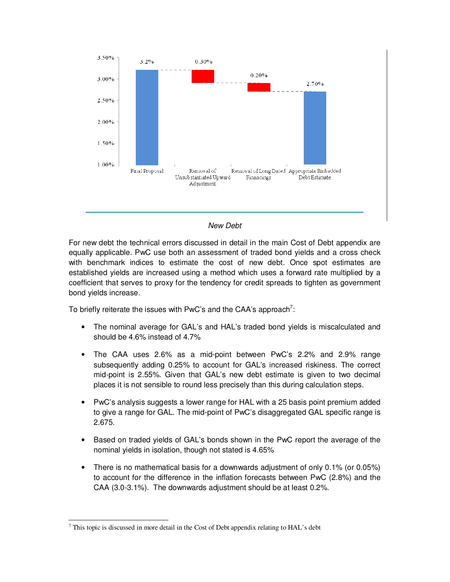

# New Debt

For new debt the technical errors discussed in detail in the main Cost of Debt appendix are equally applicable. PwC use both an assessment of traded bond yields and a cross check with benchmark indices to estimate the cost of new debt. Once spot estimates are established yields are increased using a method which uses a forward rate multiplied by a coefficient that serves to proxy for the tendency for credit spreads to tighten as government bond yields increase.

To briefly reiterate the issues with PwC's and the CAA's approach<sup>7</sup>:

- The nominal average for GAL's and HAL's traded bond yields is miscalculated and should be 4.6% instead of 4.7%
- The CAA uses 2.6% as a mid-point between PwC's 2.2% and 2.9% range subsequently adding 0.25% to account for GAL's increased riskiness. The correct mid-point is 2.55%. Given that GAL's new debt estimate is given to two decimal places it is not sensible to round less precisely than this during calculation steps.
- PwC's analysis suggests a lower range for HAL with a 25 basis point premium added to give a range for GAL. The mid-point of PwC's disaggregated GAL specific range is 2.675.
- Based on traded yields of GAL's bonds shown in the PwC report the average of the nominal yields in isolation, though not stated is 4.65%
- There is no mathematical basis for a downwards adjustment of only 0.1% (or 0.05%) to account for the difference in the inflation forecasts between PwC (2.8%) and the CAA (3.0-3.1%). The downwards adjustment should be at least 0.2%.

<sup>-</sup> $7$  This topic is discussed in more detail in the Cost of Debt appendix relating to HAL's debt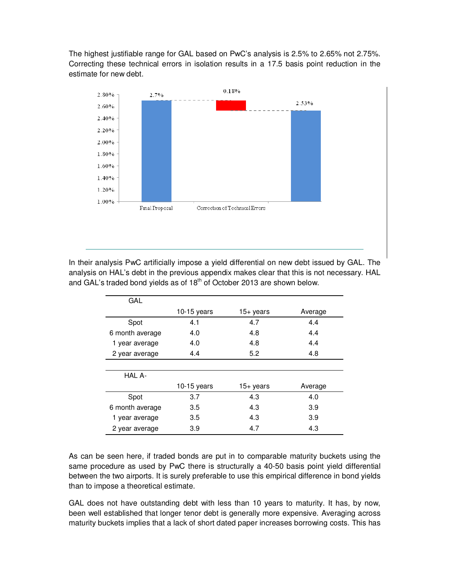The highest justifiable range for GAL based on PwC's analysis is 2.5% to 2.65% not 2.75%. Correcting these technical errors in isolation results in a 17.5 basis point reduction in the estimate for new debt.



In their analysis PwC artificially impose a yield differential on new debt issued by GAL. The analysis on HAL's debt in the previous appendix makes clear that this is not necessary. HAL and GAL's traded bond yields as of 18<sup>th</sup> of October 2013 are shown below.

| GAL             |               |           |         |
|-----------------|---------------|-----------|---------|
|                 | $10-15$ years | 15+ years | Average |
| Spot            | 4.1           | 4.7       | 4.4     |
| 6 month average | 4.0           | 4.8       | 4.4     |
| 1 year average  | 4.0           | 4.8       | 4.4     |
| 2 year average  | 4.4           | 5.2       | 4.8     |
|                 |               |           |         |
| HAL A-          |               |           |         |
|                 | 10-15 years   | 15+ years | Average |
| Spot            | 3.7           | 4.3       | 4.0     |
| 6 month average | 3.5           | 4.3       | 3.9     |
| 1 year average  | 3.5           | 4.3       | 3.9     |
| 2 year average  | 3.9           | 4.7       | 4.3     |

As can be seen here, if traded bonds are put in to comparable maturity buckets using the same procedure as used by PwC there is structurally a 40-50 basis point yield differential between the two airports. It is surely preferable to use this empirical difference in bond yields than to impose a theoretical estimate.

GAL does not have outstanding debt with less than 10 years to maturity. It has, by now, been well established that longer tenor debt is generally more expensive. Averaging across maturity buckets implies that a lack of short dated paper increases borrowing costs. This has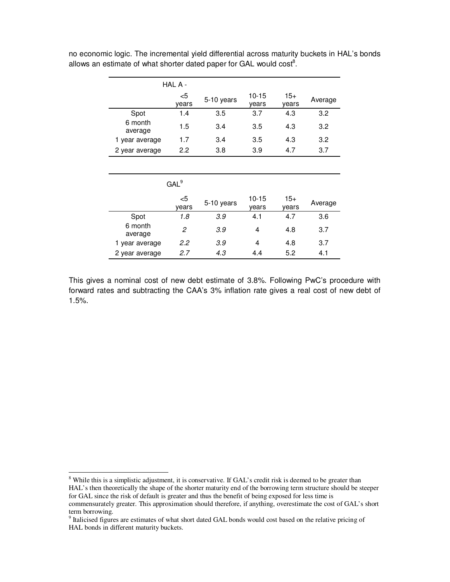|                    | HAL A -     |            |                    |                |         |
|--------------------|-------------|------------|--------------------|----------------|---------|
|                    | <5<br>years | 5-10 years | $10 - 15$<br>years | $15+$<br>years | Average |
| Spot               | 1.4         | 3.5        | 3.7                | 4.3            | 3.2     |
| 6 month<br>average | 1.5         | 3.4        | 3.5                | 4.3            | 3.2     |
| 1 year average     | 1.7         | 3.4        | 3.5                | 4.3            | 3.2     |
| 2 year average     | 2.2         | 3.8        | 3.9                | 4.7            | 3.7     |
|                    |             |            |                    |                |         |

no economic logic. The incremental yield differential across maturity buckets in HAL's bonds allows an estimate of what shorter dated paper for GAL would  $cost<sup>8</sup>$ .

|                    | GAL <sup>9</sup> |            |                    |                |         |
|--------------------|------------------|------------|--------------------|----------------|---------|
|                    | <5<br>vears      | 5-10 years | $10 - 15$<br>vears | $15+$<br>vears | Average |
| Spot               | 1.8              | 3.9        | 4.1                | 4.7            | 3.6     |
| 6 month<br>average | 2                | 3.9        | 4                  | 4.8            | 3.7     |
| 1 year average     | 2.2              | 3.9        | 4                  | 4.8            | 3.7     |
| 2 year average     | 2.7              | 4.3        | 4.4                | 5.2            | 4.1     |

This gives a nominal cost of new debt estimate of 3.8%. Following PwC's procedure with forward rates and subtracting the CAA's 3% inflation rate gives a real cost of new debt of 1.5%.

-

<sup>&</sup>lt;sup>8</sup> While this is a simplistic adjustment, it is conservative. If GAL's credit risk is deemed to be greater than HAL's then theoretically the shape of the shorter maturity end of the borrowing term structure should be steeper for GAL since the risk of default is greater and thus the benefit of being exposed for less time is commensurately greater. This approximation should therefore, if anything, overestimate the cost of GAL's short term borrowing.

<sup>&</sup>lt;sup>9</sup> Italicised figures are estimates of what short dated GAL bonds would cost based on the relative pricing of HAL bonds in different maturity buckets.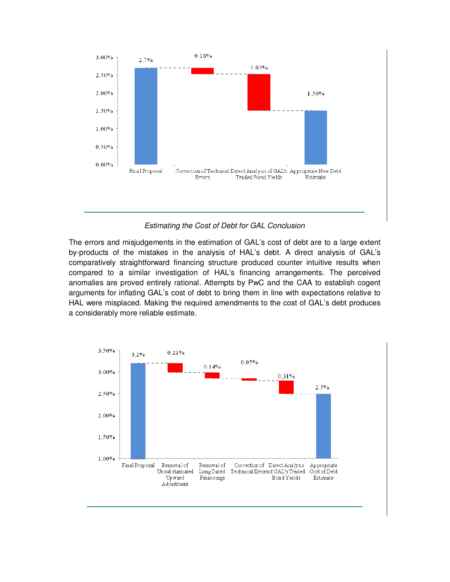

Estimating the Cost of Debt for GAL Conclusion

The errors and misjudgements in the estimation of GAL's cost of debt are to a large extent by-products of the mistakes in the analysis of HAL's debt. A direct analysis of GAL's comparatively straightforward financing structure produced counter intuitive results when compared to a similar investigation of HAL's financing arrangements. The perceived anomalies are proved entirely rational. Attempts by PwC and the CAA to establish cogent arguments for inflating GAL's cost of debt to bring them in line with expectations relative to HAL were misplaced. Making the required amendments to the cost of GAL's debt produces a considerably more reliable estimate.

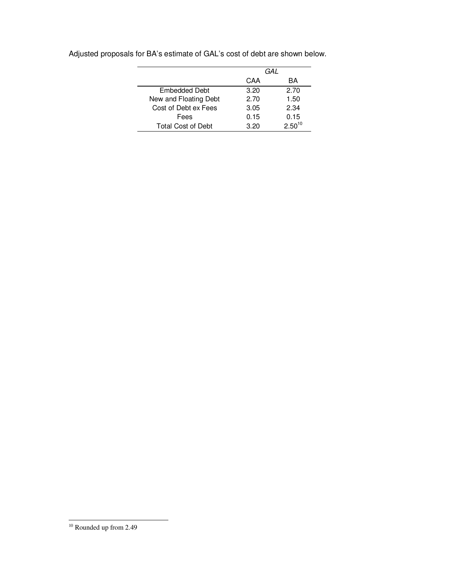|                           | GAL  |             |
|---------------------------|------|-------------|
|                           | CAA  | ВA          |
| Embedded Debt             | 3.20 | 2.70        |
| New and Floating Debt     | 2.70 | 1.50        |
| Cost of Debt ex Fees      | 3.05 | 2.34        |
| Fees                      | 0.15 | 0.15        |
| <b>Total Cost of Debt</b> | 3.20 | $2.50^{10}$ |

Adjusted proposals for BA's estimate of GAL's cost of debt are shown below.

 $\overline{\phantom{a}}$ 

<sup>-</sup><sup>10</sup> Rounded up from 2.49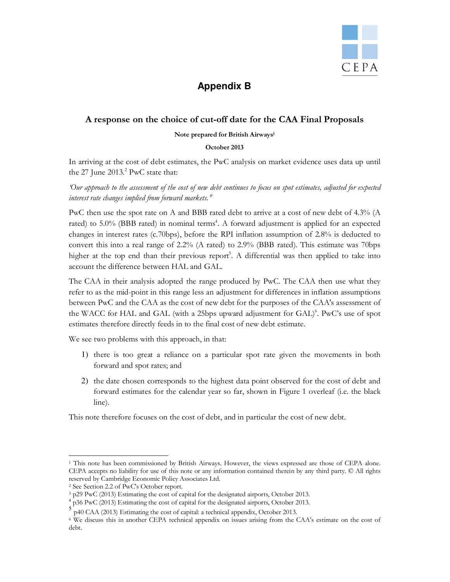

# **Appendix B**

# A response on the choice of cut-off date for the CAA Final Proposals

#### Note prepared for British Airways<sup>1</sup>

### October 2013

In arriving at the cost of debt estimates, the PwC analysis on market evidence uses data up until the  $27$  June  $2013.<sup>2</sup>$  PwC state that:

'Our approach to the assessment of the cost of new debt continues to focus on spot estimates, adjusted for expected interest rate changes implied from forward markets. $^{\emph{s}}$ 

PwC then use the spot rate on A and BBB rated debt to arrive at a cost of new debt of 4.3% (A rated) to 5.0% (BBB rated) in nominal terms<sup>4</sup>. A forward adjustment is applied for an expected changes in interest rates (c.70bps), before the RPI inflation assumption of 2.8% is deducted to convert this into a real range of 2.2% (A rated) to 2.9% (BBB rated). This estimate was 70bps higher at the top end than their previous report<sup>5</sup>. A differential was then applied to take into account the difference between HAL and GAL.

The CAA in their analysis adopted the range produced by PwC. The CAA then use what they refer to as the mid-point in this range less an adjustment for differences in inflation assumptions between PwC and the CAA as the cost of new debt for the purposes of the CAA's assessment of the WACC for HAL and GAL (with a 25bps upward adjustment for GAL)<sup>6</sup>. PwC's use of spot estimates therefore directly feeds in to the final cost of new debt estimate.

We see two problems with this approach, in that:

- 1) there is too great a reliance on a particular spot rate given the movements in both forward and spot rates; and
- 2) the date chosen corresponds to the highest data point observed for the cost of debt and forward estimates for the calendar year so far, shown in Figure 1 overleaf (i.e. the black line).

This note therefore focuses on the cost of debt, and in particular the cost of new debt.

<sup>-</sup>1 This note has been commissioned by British Airways. However, the views expressed are those of CEPA alone. CEPA accepts no liability for use of this note or any information contained therein by any third party. © All rights reserved by Cambridge Economic Policy Associates Ltd.

<sup>2</sup> See Section 2.2 of PwC's October report.

<sup>3</sup> p29 PwC (2013) Estimating the cost of capital for the designated airports, October 2013.

<sup>&</sup>lt;sup>4</sup> p36 PwC (2013) Estimating the cost of capital for the designated airports, October 2013.

p40 CAA (2013) Estimating the cost of capital: a technical appendix, October 2013.

<sup>6</sup> We discuss this in another CEPA technical appendix on issues arising from the CAA's estimate on the cost of debt.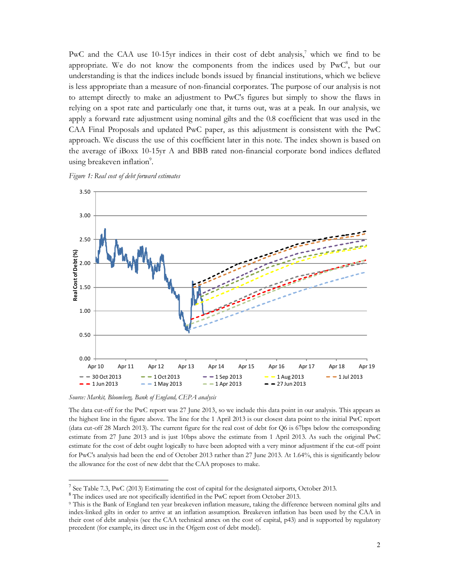PwC and the CAA use 10-15yr indices in their cost of debt analysis,<sup>7</sup> which we find to be appropriate. We do not know the components from the indices used by  $PwC<sup>8</sup>$ , but our understanding is that the indices include bonds issued by financial institutions, which we believe is less appropriate than a measure of non-financial corporates. The purpose of our analysis is not to attempt directly to make an adjustment to PwC's figures but simply to show the flaws in relying on a spot rate and particularly one that, it turns out, was at a peak. In our analysis, we apply a forward rate adjustment using nominal gilts and the 0.8 coefficient that was used in the CAA Final Proposals and updated PwC paper, as this adjustment is consistent with the PwC approach. We discuss the use of this coefficient later in this note. The index shown is based on the average of iBoxx 10-15yr A and BBB rated non-financial corporate bond indices deflated using breakeven inflation<sup>9</sup>.





Source: Markit, Bloomberg, Bank of England, CEPA analysis

-

The data cut-off for the PwC report was 27 June 2013, so we include this data point in our analysis. This appears as the highest line in the figure above. The line for the 1 April 2013 is our closest data point to the initial PwC report (data cut-off 28 March 2013). The current figure for the real cost of debt for Q6 is 67bps below the corresponding estimate from 27 June 2013 and is just 10bps above the estimate from 1 April 2013. As such the original PwC estimate for the cost of debt ought logically to have been adopted with a very minor adjustment if the cut-off point for PwC's analysis had been the end of October 2013 rather than 27 June 2013. At 1.64%, this is significantly below the allowance for the cost of new debt that the CAA proposes to make.

<sup>&</sup>lt;sup>7</sup> See Table 7.3, PwC (2013) Estimating the cost of capital for the designated airports, October 2013.

<sup>8</sup> The indices used are not specifically identified in the PwC report from October 2013.

<sup>9</sup> This is the Bank of England ten year breakeven inflation measure, taking the difference between nominal gilts and index-linked gilts in order to arrive at an inflation assumption. Breakeven inflation has been used by the CAA in their cost of debt analysis (see the CAA technical annex on the cost of capital, p43) and is supported by regulatory precedent (for example, its direct use in the Ofgem cost of debt model).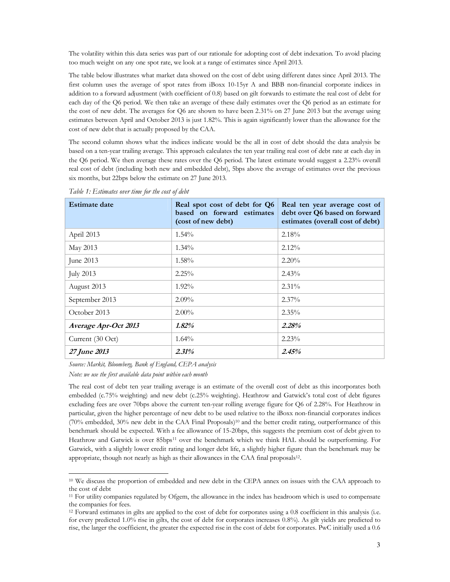The volatility within this data series was part of our rationale for adopting cost of debt indexation. To avoid placing too much weight on any one spot rate, we look at a range of estimates since April 2013.

The table below illustrates what market data showed on the cost of debt using different dates since April 2013. The first column uses the average of spot rates from iBoxx 10-15yr A and BBB non-financial corporate indices in addition to a forward adjustment (with coefficient of 0.8) based on gilt forwards to estimate the real cost of debt for each day of the Q6 period. We then take an average of these daily estimates over the Q6 period as an estimate for the cost of new debt. The averages for Q6 are shown to have been 2.31% on 27 June 2013 but the average using estimates between April and October 2013 is just 1.82%. This is again significantly lower than the allowance for the cost of new debt that is actually proposed by the CAA.

The second column shows what the indices indicate would be the all in cost of debt should the data analysis be based on a ten-year trailing average. This approach calculates the ten year trailing real cost of debt rate at each day in the Q6 period. We then average these rates over the Q6 period. The latest estimate would suggest a 2.23% overall real cost of debt (including both new and embedded debt), 5bps above the average of estimates over the previous six months, but 22bps below the estimate on 27 June 2013.

| <b>Estimate date</b> | Real spot cost of debt for Q6<br>based on forward estimates<br>(cost of new debt) | Real ten year average cost of<br>debt over Q6 based on forward<br>estimates (overall cost of debt) |
|----------------------|-----------------------------------------------------------------------------------|----------------------------------------------------------------------------------------------------|
| April 2013           | $1.54\%$                                                                          | 2.18%                                                                                              |
| May 2013             | $1.34\%$                                                                          | $2.12\%$                                                                                           |
| June 2013            | $1.58\%$                                                                          | $2.20\%$                                                                                           |
| <b>July 2013</b>     | $2.25\%$                                                                          | $2.43\%$                                                                                           |
| August 2013          | $1.92\%$                                                                          | $2.31\%$                                                                                           |
| September 2013       | $2.09\%$                                                                          | $2.37\%$                                                                                           |
| October 2013         | $2.00\%$                                                                          | $2.35\%$                                                                                           |
| Average Apr-Oct 2013 | 1.82%                                                                             | 2.28%                                                                                              |
| Current (30 Oct)     | $1.64\%$                                                                          | $2.23\%$                                                                                           |
| 27 June 2013         | 2.31%                                                                             | 2.45%                                                                                              |

Table 1: Estimates over time for the cost of debt

Source: Markit, Bloomberg, Bank of England, CEPA analysis

Note: we use the first available data point within each month

-

The real cost of debt ten year trailing average is an estimate of the overall cost of debt as this incorporates both embedded (c.75% weighting) and new debt (c.25% weighting). Heathrow and Gatwick's total cost of debt figures excluding fees are over 70bps above the current ten-year rolling average figure for Q6 of 2.28%. For Heathrow in particular, given the higher percentage of new debt to be used relative to the iBoxx non-financial corporates indices (70% embedded, 30% new debt in the CAA Final Proposals)10 and the better credit rating, outperformance of this benchmark should be expected. With a fee allowance of 15-20bps, this suggests the premium cost of debt given to Heathrow and Gatwick is over 85bps<sup>11</sup> over the benchmark which we think HAL should be outperforming. For Gatwick, with a slightly lower credit rating and longer debt life, a slightly higher figure than the benchmark may be appropriate, though not nearly as high as their allowances in the CAA final proposals<sup>12</sup>.

<sup>&</sup>lt;sup>10</sup> We discuss the proportion of embedded and new debt in the CEPA annex on issues with the CAA approach to the cost of debt

 $11$  For utility companies regulated by Ofgem, the allowance in the index has headroom which is used to compensate the companies for fees.

<sup>12</sup> Forward estimates in gilts are applied to the cost of debt for corporates using a 0.8 coefficient in this analysis (i.e. for every predicted 1.0% rise in gilts, the cost of debt for corporates increases 0.8%). As gilt yields are predicted to rise, the larger the coefficient, the greater the expected rise in the cost of debt for corporates. PwC initially used a 0.6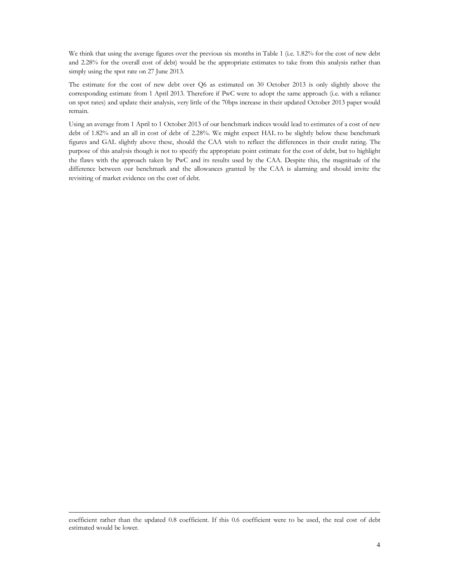We think that using the average figures over the previous six months in Table 1 (i.e. 1.82% for the cost of new debt and 2.28% for the overall cost of debt) would be the appropriate estimates to take from this analysis rather than simply using the spot rate on 27 June 2013.

The estimate for the cost of new debt over Q6 as estimated on 30 October 2013 is only slightly above the corresponding estimate from 1 April 2013. Therefore if PwC were to adopt the same approach (i.e. with a reliance on spot rates) and update their analysis, very little of the 70bps increase in their updated October 2013 paper would remain.

Using an average from 1 April to 1 October 2013 of our benchmark indices would lead to estimates of a cost of new debt of 1.82% and an all in cost of debt of 2.28%. We might expect HAL to be slightly below these benchmark figures and GAL slightly above these, should the CAA wish to reflect the differences in their credit rating. The purpose of this analysis though is not to specify the appropriate point estimate for the cost of debt, but to highlight the flaws with the approach taken by PwC and its results used by the CAA. Despite this, the magnitude of the difference between our benchmark and the allowances granted by the CAA is alarming and should invite the revisiting of market evidence on the cost of debt.

-

coefficient rather than the updated 0.8 coefficient. If this 0.6 coefficient were to be used, the real cost of debt estimated would be lower.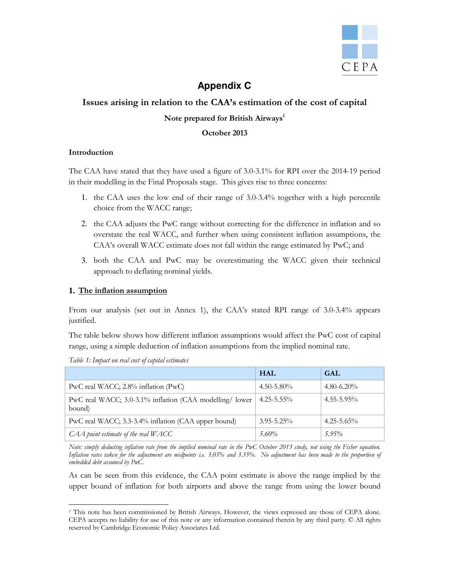

# **Appendix C**

# Issues arising in relation to the CAA's estimation of the cost of capital

# Note prepared for British Airways<sup>1</sup>

# October 2013

# Introduction

The CAA have stated that they have used a figure of 3.0-3.1% for RPI over the 2014-19 period in their modelling in the Final Proposals stage. This gives rise to three concerns:

- 1. the CAA uses the low end of their range of 3.0-3.4% together with a high percentile choice from the WACC range;
- 2. the CAA adjusts the PwC range without correcting for the difference in inflation and so overstate the real WACC, and further when using consistent inflation assumptions, the CAA's overall WACC estimate does not fall within the range estimated by PwC; and
- 3. both the CAA and PwC may be overestimating the WACC given their technical approach to deflating nominal yields.

# **1.** The inflation assumption

From our analysis (set out in Annex 1), the CAA's stated RPI range of 3.0-3.4% appears justified.

The table below shows how different inflation assumptions would affect the PwC cost of capital range, using a simple deduction of inflation assumptions from the implied nominal rate.

|                                                                                | <b>HAL</b>      | <b>GAL</b>      |
|--------------------------------------------------------------------------------|-----------------|-----------------|
| PwC real WACC; $2.8\%$ inflation (PwC)                                         | $4.50 - 5.80\%$ | $4.80 - 6.20\%$ |
| PwC real WACC; 3.0-3.1% inflation (CAA modelling/ lower   4.25-5.55%<br>bound) |                 | $4.55 - 5.95\%$ |
| PwC real WACC; 3.3-3.4% inflation (CAA upper bound)                            | $3.95 - 5.25\%$ | $4.25 - 5.65\%$ |
| CAA point estimate of the real WACC                                            | $5.60\%$        | $5.95\%$        |

Table 1: Impact on real cost of capital estimates

Note: simply deducting inflation rate from the implied nominal rate in the PwC October 2013 study, not using the Fisher equation. Inflation rates taken for the adjustment are midpoints i.e. 3.05% and 3.35%. No adjustment has been made to the proportion of embedded debt assumed by PwC.

As can be seen from this evidence, the CAA point estimate is above the range implied by the upper bound of inflation for both airports and above the range from using the lower bound

<sup>-</sup>1 This note has been commissioned by British Airways. However, the views expressed are those of CEPA alone. CEPA accepts no liability for use of this note or any information contained therein by any third party. © All rights reserved by Cambridge Economic Policy Associates Ltd.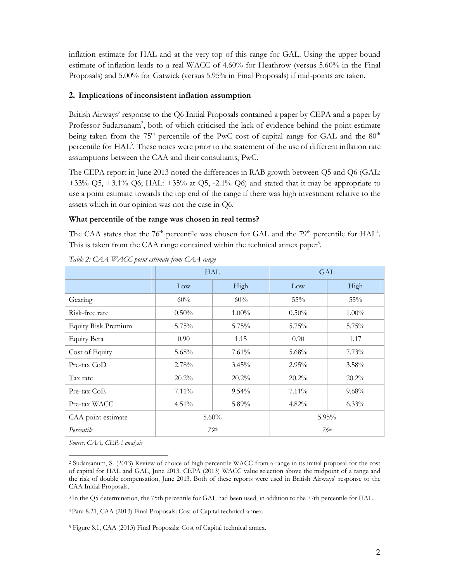inflation estimate for HAL and at the very top of this range for GAL. Using the upper bound estimate of inflation leads to a real WACC of 4.60% for Heathrow (versus 5.60% in the Final Proposals) and 5.00% for Gatwick (versus 5.95% in Final Proposals) if mid-points are taken.

# **2.** Implications of inconsistent inflation assumption

British Airways' response to the Q6 Initial Proposals contained a paper by CEPA and a paper by Professor Sudarsanam<sup>2</sup>, both of which criticised the lack of evidence behind the point estimate being taken from the  $75<sup>th</sup>$  percentile of the PwC cost of capital range for GAL and the  $80<sup>th</sup>$ percentile for HAL<sup>3</sup>. These notes were prior to the statement of the use of different inflation rate assumptions between the CAA and their consultants, PwC.

The CEPA report in June 2013 noted the differences in RAB growth between Q5 and Q6 (GAL:  $+33\%$  Q5,  $+3.1\%$  Q6; HAL:  $+35\%$  at Q5,  $-2.1\%$  Q6) and stated that it may be appropriate to use a point estimate towards the top end of the range if there was high investment relative to the assets which in our opinion was not the case in Q6.

# What percentile of the range was chosen in real terms?

The CAA states that the  $76<sup>th</sup>$  percentile was chosen for GAL and the  $79<sup>th</sup>$  percentile for HAL<sup>4</sup>. This is taken from the CAA range contained within the technical annex paper<sup>5</sup>.

|                            | HAL               |          | <b>GAL</b> |                  |
|----------------------------|-------------------|----------|------------|------------------|
|                            | Low               | High     | Low        | High             |
| Gearing                    | 60%               | 60%      | 55%        | $55\%$           |
| Risk-free rate             | $0.50\%$          | $1.00\%$ | $0.50\%$   | $1.00\%$         |
| <b>Equity Risk Premium</b> | 5.75%             | 5.75%    | 5.75%      | 5.75%            |
| <b>Equity Beta</b>         | 0.90 <sub>1</sub> | 1.15     | 0.90       | 1.17             |
| Cost of Equity             | 5.68%             | $7.61\%$ | 5.68%      | 7.73%            |
| Pre-tax CoD                | 2.78%             | $3.45\%$ | $2.95\%$   | $3.58\%$         |
| Tax rate                   | $20.2\%$          | $20.2\%$ | 20.2%      | $20.2\%$         |
| Pre-tax CoE                | $7.11\%$          | $9.54\%$ | $7.11\%$   | $9.68\%$         |
| Pre-tax WACC               | 4.51%             | 5.89%    | 4.82%      | $6.33\%$         |
| CAA point estimate         | 5.60%             |          |            | 5.95%            |
| Percentile                 |                   | $79$ th  |            | 76 <sup>th</sup> |

Table 2: CAA WACC point estimate from CAA range

Source: CAA, CEPA analysis

<sup>3</sup>In the Q5 determination, the 75th percentile for GAL had been used, in addition to the 77th percentile for HAL.

<sup>4</sup>Para 8.21, CAA (2013) Final Proposals: Cost of Capital technical annex.

5 Figure 8.1, CAA (2013) Final Proposals: Cost of Capital technical annex.

<sup>-</sup>2 Sudarsanum, S. (2013) Review of choice of high percentile WACC from a range in its initial proposal for the cost of capital for HAL and GAL, June 2013. CEPA (2013) WACC value selection above the midpoint of a range and the risk of double compensation, June 2013. Both of these reports were used in British Airways' response to the CAA Initial Proposals.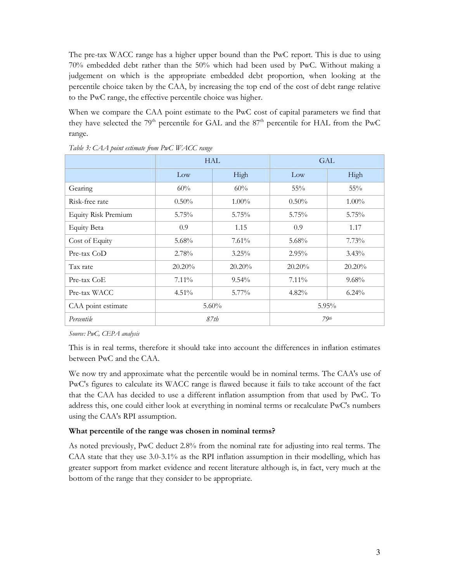The pre-tax WACC range has a higher upper bound than the PwC report. This is due to using 70% embedded debt rather than the 50% which had been used by PwC. Without making a judgement on which is the appropriate embedded debt proportion, when looking at the percentile choice taken by the CAA, by increasing the top end of the cost of debt range relative to the PwC range, the effective percentile choice was higher.

When we compare the CAA point estimate to the PwC cost of capital parameters we find that they have selected the 79<sup>th</sup> percentile for GAL and the 87<sup>th</sup> percentile for HAL from the PwC range.

|                            | <b>HAL</b> |           | <b>GAL</b> |          |
|----------------------------|------------|-----------|------------|----------|
|                            | Low        | High      | Low        | High     |
| Gearing                    | 60%        | 60%       | 55%        | 55%      |
| Risk-free rate             | $0.50\%$   | $1.00\%$  | $0.50\%$   | $1.00\%$ |
| <b>Equity Risk Premium</b> | $5.75\%$   | 5.75%     | 5.75%      | $5.75\%$ |
| <b>Equity Beta</b>         | 0.9        | 1.15      | 0.9        | 1.17     |
| Cost of Equity             | 5.68%      | 7.61%     | $5.68\%$   | $7.73\%$ |
| Pre-tax CoD                | 2.78%      | $3.25\%$  | $2.95\%$   | $3.43\%$ |
| Tax rate                   | $20.20\%$  | $20.20\%$ | 20.20%     | 20.20%   |
| Pre-tax CoE                | $7.11\%$   | $9.54\%$  | $7.11\%$   | $9.68\%$ |
| Pre-tax WACC               | 4.51%      | 5.77%     | $4.82\%$   | $6.24\%$ |
| CAA point estimate         | $5.60\%$   |           |            | 5.95%    |
| Percentile                 |            | 87th      |            | $79$ th  |

Table 3: CAA point estimate from PwC WACC range

Source: PwC, CEPA analysis

This is in real terms, therefore it should take into account the differences in inflation estimates between PwC and the CAA.

We now try and approximate what the percentile would be in nominal terms. The CAA's use of PwC's figures to calculate its WACC range is flawed because it fails to take account of the fact that the CAA has decided to use a different inflation assumption from that used by PwC. To address this, one could either look at everything in nominal terms or recalculate PwC's numbers using the CAA's RPI assumption.

# What percentile of the range was chosen in nominal terms?

As noted previously, PwC deduct 2.8% from the nominal rate for adjusting into real terms. The CAA state that they use 3.0-3.1% as the RPI inflation assumption in their modelling, which has greater support from market evidence and recent literature although is, in fact, very much at the bottom of the range that they consider to be appropriate.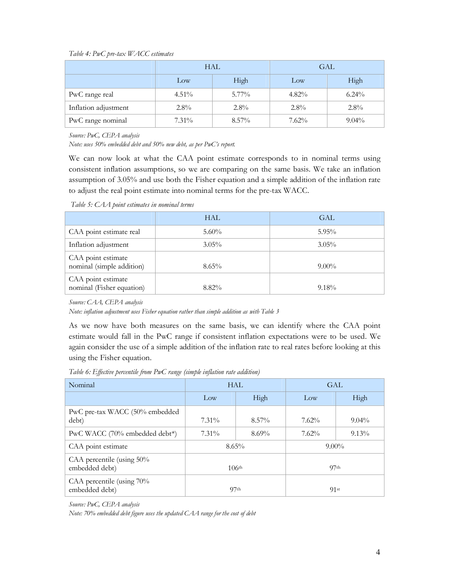#### Table 4: PwC pre-tax WACC estimates

|                      | <b>HAL</b> |          | <b>GAL</b> |          |
|----------------------|------------|----------|------------|----------|
|                      | Low        | High     | Low        | High     |
| PwC range real       | $4.51\%$   | $5.77\%$ | $4.82\%$   | $6.24\%$ |
| Inflation adjustment | $2.8\%$    | $2.8\%$  | $2.8\%$    | $2.8\%$  |
| PwC range nominal    | $7.31\%$   | $8.57\%$ | 7.62%      | $9.04\%$ |

Source: PwC, CEPA analysis

Note: uses 50% embedded debt and 50% new debt, as per PwC's report.

We can now look at what the CAA point estimate corresponds to in nominal terms using consistent inflation assumptions, so we are comparing on the same basis. We take an inflation assumption of 3.05% and use both the Fisher equation and a simple addition of the inflation rate to adjust the real point estimate into nominal terms for the pre-tax WACC.

Table 5: CAA point estimates in nominal terms

|                                                 | HAL      | GAL.     |
|-------------------------------------------------|----------|----------|
| CAA point estimate real                         | $5.60\%$ | $5.95\%$ |
| Inflation adjustment                            | $3.05\%$ | $3.05\%$ |
| CAA point estimate<br>nominal (simple addition) | $8.65\%$ | $9.00\%$ |
| CAA point estimate<br>nominal (Fisher equation) | $8.82\%$ | $9.18\%$ |

Source: CAA, CEPA analysis

Note: inflation adjustment uses Fisher equation rather than simple addition as with Table 3

As we now have both measures on the same basis, we can identify where the CAA point estimate would fall in the PwC range if consistent inflation expectations were to be used. We again consider the use of a simple addition of the inflation rate to real rates before looking at this using the Fisher equation.

Table 6: Effective percentile from PwC range (simple inflation rate addition)

| Nominal                                     | <b>HAL</b>        |          | <b>GAL</b>       |          |
|---------------------------------------------|-------------------|----------|------------------|----------|
|                                             | Low               | High     | Low              | High     |
| PwC pre-tax WACC (50% embedded<br>debt)     | $7.31\%$          | $8.57\%$ | 7.62%            | $9.04\%$ |
| PwC WACC (70% embedded debt*)               | $7.31\%$          | $8.69\%$ | 7.62%            | $9.13\%$ |
| CAA point estimate                          | $8.65\%$          |          | $9.00\%$         |          |
| CAA percentile (using 50%<br>embedded debt) | 106 <sup>th</sup> |          | 97 <sub>th</sub> |          |
| CAA percentile (using 70%<br>embedded debt) | 97 <sub>th</sub>  |          | 91st             |          |

Source: PwC, CEPA analysis

Note: 70% embedded debt figure uses the updated CAA range for the cost of debt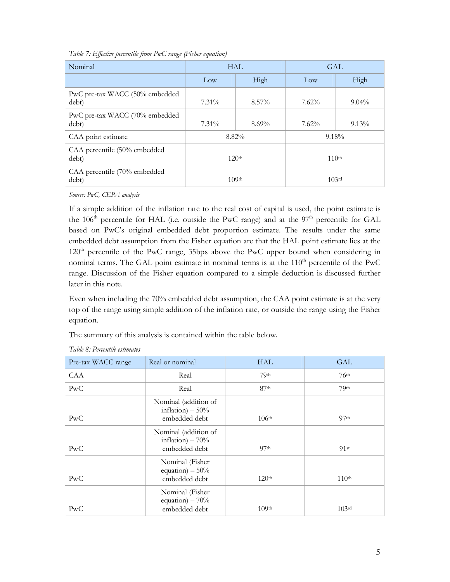| Nominal                                 | HAL                  |          | <b>GAL</b>        |          |
|-----------------------------------------|----------------------|----------|-------------------|----------|
|                                         | Low                  | High     | Low               | High     |
| PwC pre-tax WACC (50% embedded<br>debt) | $7.31\%$             | $8.57\%$ | 7.62%             | $9.04\%$ |
| PwC pre-tax WACC (70% embedded<br>debt) | $7.31\%$             | $8.69\%$ | 7.62%             | $9.13\%$ |
| CAA point estimate                      | $8.82\%$<br>$9.18\%$ |          |                   |          |
| CAA percentile (50% embedded<br>debt)   | 120 <sup>th</sup>    |          | 110 <sup>th</sup> |          |
| CAA percentile (70% embedded<br>debt)   | 109 <sup>th</sup>    |          | $10,3$ rd         |          |

Table 7: Effective percentile from PwC range (Fisher equation)

Source: PwC, CEPA analysis

If a simple addition of the inflation rate to the real cost of capital is used, the point estimate is the  $106<sup>th</sup>$  percentile for HAL (i.e. outside the PwC range) and at the  $97<sup>th</sup>$  percentile for GAL based on PwC's original embedded debt proportion estimate. The results under the same embedded debt assumption from the Fisher equation are that the HAL point estimate lies at the  $120<sup>th</sup>$  percentile of the PwC range, 35bps above the PwC upper bound when considering in nominal terms. The GAL point estimate in nominal terms is at the  $110<sup>th</sup>$  percentile of the PwC range. Discussion of the Fisher equation compared to a simple deduction is discussed further later in this note.

Even when including the 70% embedded debt assumption, the CAA point estimate is at the very top of the range using simple addition of the inflation rate, or outside the range using the Fisher equation.

The summary of this analysis is contained within the table below.

| Pre-tax WACC range | Real or nominal                                            | <b>HAL</b>        | GAL               |
|--------------------|------------------------------------------------------------|-------------------|-------------------|
| CAA                | Real                                                       | 79 <sup>th</sup>  | 76 <sup>th</sup>  |
| PwC                | Real                                                       | 87 <sup>th</sup>  | 79 <sup>th</sup>  |
| PwC                | Nominal (addition of<br>inflation) $-50%$<br>embedded debt | 106 <sup>th</sup> | 97 <sub>th</sub>  |
| PwC                | Nominal (addition of<br>inflation) $-70%$<br>embedded debt | 97 <sub>th</sub>  | 91st              |
| PwC                | Nominal (Fisher<br>equation) $-50%$<br>embedded debt       | 120 <sup>th</sup> | 110 <sup>th</sup> |
| PwC                | Nominal (Fisher<br>equation) $-70%$<br>embedded debt       | 109 <sup>th</sup> | 103rd             |

# Table 8: Percentile estimates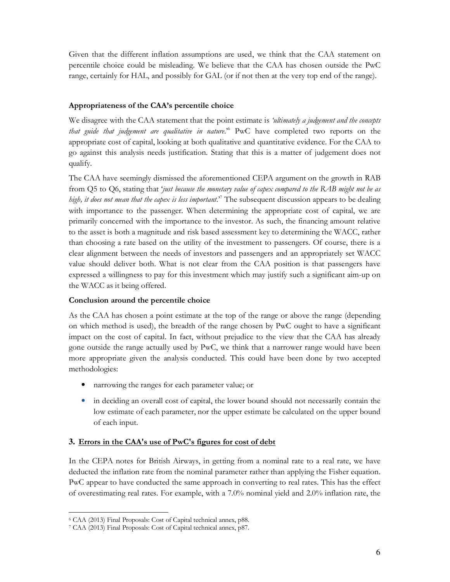Given that the different inflation assumptions are used, we think that the CAA statement on percentile choice could be misleading. We believe that the CAA has chosen outside the PwC range, certainly for HAL, and possibly for GAL (or if not then at the very top end of the range).

# Appropriateness of the CAA's percentile choice

We disagree with the CAA statement that the point estimate is 'ultimately a judgement and the concepts that guide that judgement are qualitative in nature.<sup>56</sup> PwC have completed two reports on the appropriate cost of capital, looking at both qualitative and quantitative evidence. For the CAA to go against this analysis needs justification. Stating that this is a matter of judgement does not qualify.

The CAA have seemingly dismissed the aforementioned CEPA argument on the growth in RAB from  $Q5$  to  $Q6$ , stating that 'just because the monetary value of capex compared to the RAB might not be as high, it does not mean that the capex is less important.<sup>7</sup> The subsequent discussion appears to be dealing with importance to the passenger. When determining the appropriate cost of capital, we are primarily concerned with the importance to the investor. As such, the financing amount relative to the asset is both a magnitude and risk based assessment key to determining the WACC, rather than choosing a rate based on the utility of the investment to passengers. Of course, there is a clear alignment between the needs of investors and passengers and an appropriately set WACC value should deliver both. What is not clear from the CAA position is that passengers have expressed a willingness to pay for this investment which may justify such a significant aim-up on the WACC as it being offered.

# Conclusion around the percentile choice

As the CAA has chosen a point estimate at the top of the range or above the range (depending on which method is used), the breadth of the range chosen by PwC ought to have a significant impact on the cost of capital. In fact, without prejudice to the view that the CAA has already gone outside the range actually used by PwC, we think that a narrower range would have been more appropriate given the analysis conducted. This could have been done by two accepted methodologies:

- narrowing the ranges for each parameter value; or
- in deciding an overall cost of capital, the lower bound should not necessarily contain the low estimate of each parameter, nor the upper estimate be calculated on the upper bound of each input.

# **3.** Errors in the CAA's use of PwC's figures for cost of debt

In the CEPA notes for British Airways, in getting from a nominal rate to a real rate, we have deducted the inflation rate from the nominal parameter rather than applying the Fisher equation. PwC appear to have conducted the same approach in converting to real rates. This has the effect of overestimating real rates. For example, with a 7.0% nominal yield and 2.0% inflation rate, the

<sup>-</sup>6 CAA (2013) Final Proposals: Cost of Capital technical annex, p88.

<sup>7</sup> CAA (2013) Final Proposals: Cost of Capital technical annex, p87.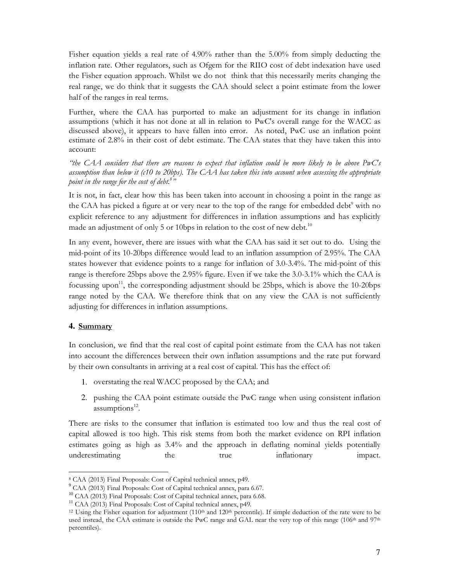Fisher equation yields a real rate of 4.90% rather than the 5.00% from simply deducting the inflation rate. Other regulators, such as Ofgem for the RIIO cost of debt indexation have used the Fisher equation approach. Whilst we do not think that this necessarily merits changing the real range, we do think that it suggests the CAA should select a point estimate from the lower half of the ranges in real terms.

Further, where the CAA has purported to make an adjustment for its change in inflation assumptions (which it has not done at all in relation to PwC's overall range for the WACC as discussed above), it appears to have fallen into error. As noted, PwC use an inflation point estimate of 2.8% in their cost of debt estimate. The CAA states that they have taken this into account:

"the CAA considers that there are reasons to expect that inflation could be more likely to be above PwC's assumption than below it (c10 to 20bps). The CAA has taken this into account when assessing the appropriate point in the range for the cost of debt.<sup>8</sup>"

It is not, in fact, clear how this has been taken into account in choosing a point in the range as the CAA has picked a figure at or very near to the top of the range for embedded debt<sup>9</sup> with no explicit reference to any adjustment for differences in inflation assumptions and has explicitly made an adjustment of only 5 or 10 bps in relation to the cost of new debt.<sup>10</sup>

In any event, however, there are issues with what the CAA has said it set out to do. Using the mid-point of its 10-20bps difference would lead to an inflation assumption of 2.95%. The CAA states however that evidence points to a range for inflation of 3.0-3.4%. The mid-point of this range is therefore 25bps above the 2.95% figure. Even if we take the 3.0-3.1% which the CAA is focussing upon<sup>11</sup>, the corresponding adjustment should be 25bps, which is above the  $10\n-20bps$ range noted by the CAA. We therefore think that on any view the CAA is not sufficiently adjusting for differences in inflation assumptions.

#### **4.** Summary

-

In conclusion, we find that the real cost of capital point estimate from the CAA has not taken into account the differences between their own inflation assumptions and the rate put forward by their own consultants in arriving at a real cost of capital. This has the effect of:

- 1. overstating the real WACC proposed by the CAA; and
- 2. pushing the CAA point estimate outside the PwC range when using consistent inflation assumptions<sup>12</sup>.

There are risks to the consumer that inflation is estimated too low and thus the real cost of capital allowed is too high. This risk stems from both the market evidence on RPI inflation estimates going as high as 3.4% and the approach in deflating nominal yields potentially underestimating the true inflationary impact.

<sup>8</sup> CAA (2013) Final Proposals: Cost of Capital technical annex, p49.

<sup>9</sup> CAA (2013) Final Proposals: Cost of Capital technical annex, para 6.67.

<sup>10</sup> CAA (2013) Final Proposals: Cost of Capital technical annex, para 6.68.

<sup>&</sup>lt;sup>11</sup> CAA (2013) Final Proposals: Cost of Capital technical annex, p49.

<sup>&</sup>lt;sup>12</sup> Using the Fisher equation for adjustment (110<sup>th</sup> and 120<sup>th</sup> percentile). If simple deduction of the rate were to be used instead, the CAA estimate is outside the PwC range and GAL near the very top of this range (106<sup>th</sup> and 97<sup>th</sup> percentiles).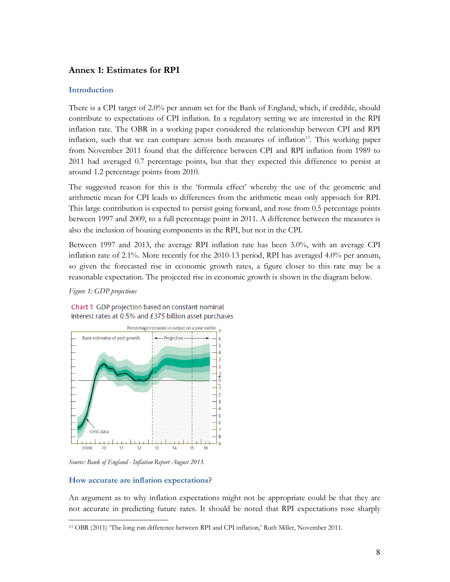# Annex 1: Estimates for RPI

# Introduction

There is a CPI target of 2.0% per annum set for the Bank of England, which, if credible, should contribute to expectations of CPI inflation. In a regulatory setting we are interested in the RPI inflation rate. The OBR in a working paper considered the relationship between CPI and RPI inflation, such that we can compare across both measures of inflation<sup>13</sup>. This working paper from November 2011 found that the difference between CPI and RPI inflation from 1989 to 2011 had averaged 0.7 percentage points, but that they expected this difference to persist at around 1.2 percentage points from 2010.

The suggested reason for this is the 'formula effect' whereby the use of the geometric and arithmetic mean for CPI leads to differences from the arithmetic mean only approach for RPI. This large contribution is expected to persist going forward, and rose from 0.5 percentage points between 1997 and 2009, to a full percentage point in 2011. A difference between the measures is also the inclusion of housing components in the RPI, but not in the CPI.

Between 1997 and 2013, the average RPI inflation rate has been 3.0%, with an average CPI inflation rate of 2.1%. More recently for the 2010-13 period, RPI has averaged 4.0% per annum, so given the forecasted rise in economic growth rates, a figure closer to this rate may be a reasonable expectation. The projected rise in economic growth is shown in the diagram below.

#### Figure 1: GDP projections



# Chart 1 GDP projection based on constant nominal interest rates at 0.5% and £375 billion asset purchases

Source: Bank of England - Inflation Report August 2013.

# How accurate are inflation expectations?

An argument as to why inflation expectations might not be appropriate could be that they are not accurate in predicting future rates. It should be noted that RPI expectations rose sharply

<sup>-</sup>13 OBR (2011) 'The long run difference between RPI and CPI inflation,' Ruth Miller, November 2011.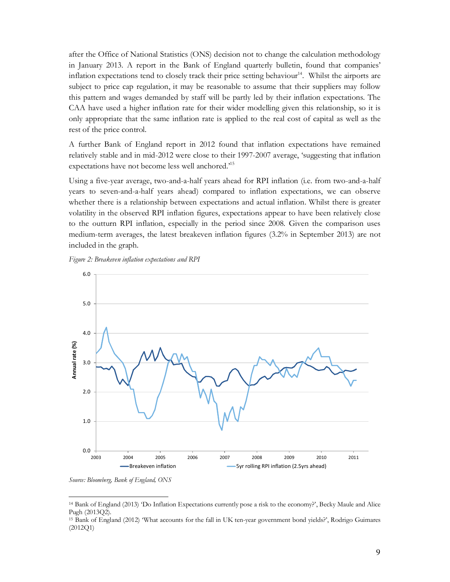after the Office of National Statistics (ONS) decision not to change the calculation methodology in January 2013. A report in the Bank of England quarterly bulletin, found that companies' inflation expectations tend to closely track their price setting behaviour<sup>14</sup>. Whilst the airports are subject to price cap regulation, it may be reasonable to assume that their suppliers may follow this pattern and wages demanded by staff will be partly led by their inflation expectations. The CAA have used a higher inflation rate for their wider modelling given this relationship, so it is only appropriate that the same inflation rate is applied to the real cost of capital as well as the rest of the price control.

A further Bank of England report in 2012 found that inflation expectations have remained relatively stable and in mid-2012 were close to their 1997-2007 average, 'suggesting that inflation expectations have not become less well anchored.'<sup>15</sup>

Using a five-year average, two-and-a-half years ahead for RPI inflation (i.e. from two-and-a-half years to seven-and-a-half years ahead) compared to inflation expectations, we can observe whether there is a relationship between expectations and actual inflation. Whilst there is greater volatility in the observed RPI inflation figures, expectations appear to have been relatively close to the outturn RPI inflation, especially in the period since 2008. Given the comparison uses medium-term averages, the latest breakeven inflation figures (3.2% in September 2013) are not included in the graph.





Source: Bloomberg, Bank of England, ONS

-

<sup>14</sup> Bank of England (2013) 'Do Inflation Expectations currently pose a risk to the economy?', Becky Maule and Alice Pugh (2013Q2).

<sup>15</sup> Bank of England (2012) 'What accounts for the fall in UK ten-year government bond yields?', Rodrigo Guimares (2012Q1)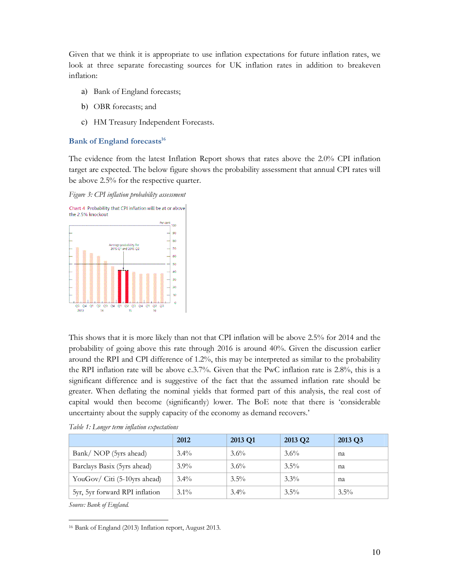Given that we think it is appropriate to use inflation expectations for future inflation rates, we look at three separate forecasting sources for UK inflation rates in addition to breakeven inflation:

- a) Bank of England forecasts;
- b) OBR forecasts; and
- c) HM Treasury Independent Forecasts.

### Bank of England forecasts $^{16}$

The evidence from the latest Inflation Report shows that rates above the 2.0% CPI inflation target are expected. The below figure shows the probability assessment that annual CPI rates will be above 2.5% for the respective quarter.

Figure 3: CPI inflation probability assessment



This shows that it is more likely than not that CPI inflation will be above 2.5% for 2014 and the probability of going above this rate through 2016 is around 40%. Given the discussion earlier around the RPI and CPI difference of 1.2%, this may be interpreted as similar to the probability the RPI inflation rate will be above c.3.7%. Given that the PwC inflation rate is 2.8%, this is a significant difference and is suggestive of the fact that the assumed inflation rate should be greater. When deflating the nominal yields that formed part of this analysis, the real cost of capital would then become (significantly) lower. The BoE note that there is 'considerable uncertainty about the supply capacity of the economy as demand recovers.'

|                                | 2012    | 2013 Q1 | 2013 Q <sub>2</sub> | 2013 Q3 |
|--------------------------------|---------|---------|---------------------|---------|
| Bank/ NOP (5yrs ahead)         | $3.4\%$ | $3.6\%$ | $3.6\%$             | na      |
| Barclays Basix (5yrs ahead)    | $3.9\%$ | $3.6\%$ | $3.5\%$             | na      |
| YouGov/ Citi (5-10yrs ahead)   | $3.4\%$ | $3.5\%$ | $3.3\%$             | na      |
| 5yr, 5yr forward RPI inflation | $3.1\%$ | $3.4\%$ | $3.5\%$             | $3.5\%$ |

Table 1: Longer term inflation expectations

Source: Bank of England.

<sup>-</sup>16 Bank of England (2013) Inflation report, August 2013.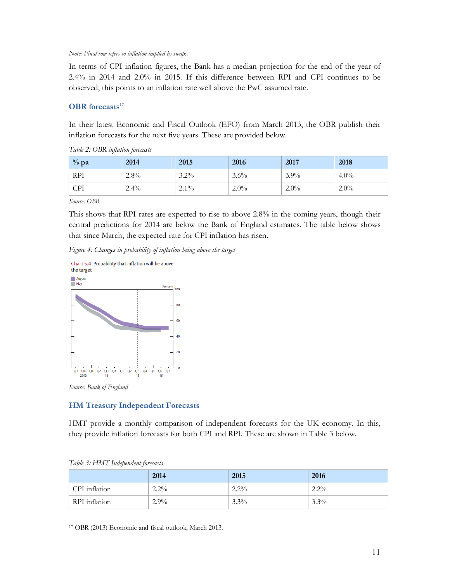#### Note: Final row refers to inflation implied by swaps.

In terms of CPI inflation figures, the Bank has a median projection for the end of the year of 2.4% in 2014 and 2.0% in 2015. If this difference between RPI and CPI continues to be observed, this points to an inflation rate well above the PwC assumed rate.

# **OBR** forecasts $^{17}$

In their latest Economic and Fiscal Outlook (EFO) from March 2013, the OBR publish their inflation forecasts for the next five years. These are provided below.

| $\%$ pa    | 2014    | 2015    | 2016    | 2017    | 2018    |
|------------|---------|---------|---------|---------|---------|
| <b>RPI</b> | $2.8\%$ | $3.2\%$ | $3.6\%$ | $3.9\%$ | $4.0\%$ |
| <b>CPI</b> | $2.4\%$ | $2.1\%$ | $2.0\%$ | $2.0\%$ | $2.0\%$ |

|  |  |  |  | Table 2: OBR inflation forecasts |
|--|--|--|--|----------------------------------|
|--|--|--|--|----------------------------------|

Source: OBR

This shows that RPI rates are expected to rise to above 2.8% in the coming years, though their central predictions for 2014 are below the Bank of England estimates. The table below shows that since March, the expected rate for CPI inflation has risen.

Figure 4: Changes in probability of inflation being above the target



Source: Bank of England

# HM Treasury Independent Forecasts

HMT provide a monthly comparison of independent forecasts for the UK economy. In this, they provide inflation forecasts for both CPI and RPI. These are shown in Table 3 below.

|               | 2014    | 2015    | 2016    |
|---------------|---------|---------|---------|
| CPI inflation | $2.2\%$ | $2.2\%$ | $2.2\%$ |
| RPI inflation | $2.9\%$ | $3.3\%$ | $3.3\%$ |

Table 3: HMT Independent forecasts

-17 OBR (2013) Economic and fiscal outlook, March 2013.